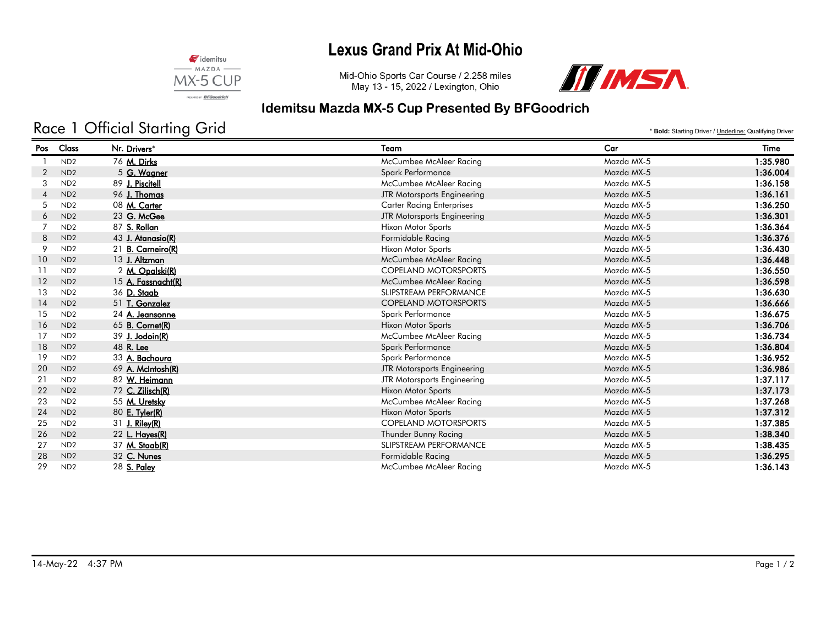## **Lexus Grand Prix At Mid-Ohio**



Mid-Ohio Sports Car Course / 2.258 miles May 13 - 15, 2022 / Lexington, Ohio



### Idemitsu Mazda MX-5 Cup Presented By BFGoodrich

# Race 1 Official Starting Grid

\* **Bold:** Starting Driver / Underline: Qualifying Driver

| Pos            | Class           | Nr. Drivers*           | Team                             | Car        | Time     |
|----------------|-----------------|------------------------|----------------------------------|------------|----------|
|                | ND <sub>2</sub> | 76 M. Dirks            | McCumbee McAleer Racing          | Mazda MX-5 | 1:35.980 |
| $\overline{2}$ | ND <sub>2</sub> | 5 G. Wagner            | Spark Performance                | Mazda MX-5 | 1:36.004 |
| 3              | ND <sub>2</sub> | 89 J. Piscitell        | McCumbee McAleer Racing          | Mazda MX-5 | 1:36.158 |
| 4              | ND <sub>2</sub> | 96 J. Thomas           | JTR Motorsports Engineering      | Mazda MX-5 | 1:36.161 |
| 5              | ND <sub>2</sub> | 08 M. Carter           | <b>Carter Racing Enterprises</b> | Mazda MX-5 | 1:36.250 |
| 6              | ND <sub>2</sub> | 23 G. McGee            | JTR Motorsports Engineering      | Mazda MX-5 | 1:36.301 |
|                | ND <sub>2</sub> | 87 S. Rollan           | Hixon Motor Sports               | Mazda MX-5 | 1:36.364 |
| 8              | ND <sub>2</sub> | 43 J. Atanasio(R)      | Formidable Racing                | Mazda MX-5 | 1:36.376 |
| 9              | ND <sub>2</sub> | 21 B. Carneiro(R)      | <b>Hixon Motor Sports</b>        | Mazda MX-5 | 1:36.430 |
| 10             | ND <sub>2</sub> | 13 J. Altzman          | McCumbee McAleer Racing          | Mazda MX-5 | 1:36.448 |
| 11             | ND <sub>2</sub> | 2 M. Opalski(R)        | <b>COPELAND MOTORSPORTS</b>      | Mazda MX-5 | 1:36.550 |
| 12             | ND <sub>2</sub> | 15 A. Fassnacht(R)     | McCumbee McAleer Racing          | Mazda MX-5 | 1:36.598 |
| 13             | ND <sub>2</sub> | 36 D. Staab            | SLIPSTREAM PERFORMANCE           | Mazda MX-5 | 1:36.630 |
| 14             | ND <sub>2</sub> | 51 T. Gonzalez         | <b>COPELAND MOTORSPORTS</b>      | Mazda MX-5 | 1:36.666 |
| 15             | ND <sub>2</sub> | 24 A. Jeansonne        | Spark Performance                | Mazda MX-5 | 1:36.675 |
| 16             | ND <sub>2</sub> | 65 <b>B. Cornet(R)</b> | <b>Hixon Motor Sports</b>        | Mazda MX-5 | 1:36.706 |
| 17             | ND <sub>2</sub> | 39 J. Jodoin(R)        | McCumbee McAleer Racing          | Mazda MX-5 | 1:36.734 |
| 18             | ND <sub>2</sub> | 48 R. Lee              | Spark Performance                | Mazda MX-5 | 1:36.804 |
| 19             | ND <sub>2</sub> | 33 A. Bachoura         | Spark Performance                | Mazda MX-5 | 1:36.952 |
| 20             | ND <sub>2</sub> | 69 A. McIntosh(R)      | JTR Motorsports Engineering      | Mazda MX-5 | 1:36.986 |
| 21             | ND <sub>2</sub> | 82 W. Heimann          | JTR Motorsports Engineering      | Mazda MX-5 | 1:37.117 |
| 22             | ND <sub>2</sub> | 72 C. Zilisch(R)       | Hixon Motor Sports               | Mazda MX-5 | 1:37.173 |
| 23             | ND <sub>2</sub> | 55 M. Uretsky          | McCumbee McAleer Racing          | Mazda MX-5 | 1:37.268 |
| 24             | ND <sub>2</sub> | 80 E. Tyler(R)         | <b>Hixon Motor Sports</b>        | Mazda MX-5 | 1:37.312 |
| 25             | ND <sub>2</sub> | 31 J. Riley(R)         | <b>COPELAND MOTORSPORTS</b>      | Mazda MX-5 | 1:37.385 |
| 26             | ND <sub>2</sub> | 22 L. Hayes(R)         | Thunder Bunny Racing             | Mazda MX-5 | 1:38.340 |
| 27             | ND <sub>2</sub> | 37 M. Staab(R)         | SLIPSTREAM PERFORMANCE           | Mazda MX-5 | 1:38.435 |
| 28             | ND <sub>2</sub> | 32 C. Nunes            | Formidable Racing                | Mazda MX-5 | 1:36.295 |
| 29             | ND <sub>2</sub> | 28 S. Paley            | McCumbee McAleer Racing          | Mazda MX-5 | 1:36.143 |